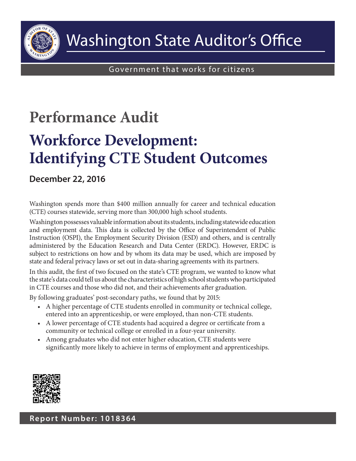

# **Performance Audit**

# **Workforce Development: Identifying CTE Student Outcomes**

## **December 22, 2016**

Washington spends more than \$400 million annually for career and technical education (CTE) courses statewide, serving more than 300,000 high school students.

Washington possesses valuable information about its students, including statewide education and employment data. This data is collected by the Office of Superintendent of Public Instruction (OSPI), the Employment Security Division (ESD) and others, and is centrally administered by the Education Research and Data Center (ERDC). However, ERDC is subject to restrictions on how and by whom its data may be used, which are imposed by state and federal privacy laws or set out in data-sharing agreements with its partners.

In this audit, the first of two focused on the state's CTE program, we wanted to know what the state's data could tell us about the characteristics of high school students who participated in CTE courses and those who did not, and their achievements after graduation.

By following graduates' post-secondary paths, we found that by 2015:

- • A higher percentage of CTE students enrolled in community or technical college, entered into an apprenticeship, or were employed, than non-CTE students.
- A lower percentage of CTE students had acquired a degree or certificate from a community or technical college or enrolled in a four-year university.
- • Among graduates who did not enter higher education, CTE students were significantly more likely to achieve in terms of employment and apprenticeships.

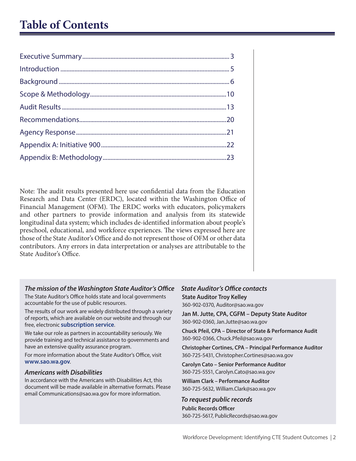## **Table of Contents**

Note: The audit results presented here use confidential data from the Education Research and Data Center (ERDC), located within the Washington Office of Financial Management (OFM). The ERDC works with educators, policymakers and other partners to provide information and analysis from its statewide longitudinal data system; which includes de-identified information about people's preschool, educational, and workforce experiences. The views expressed here are those of the State Auditor's Office and do not represent those of OFM or other data contributors. Any errors in data interpretation or analyses are attributable to the State Auditor's Office.

#### *The mission of the Washington State Auditor's Office*

The State Auditor's Office holds state and local governments accountable for the use of public resources.

The results of our work are widely distributed through a variety of reports, which are available on our website and through our free, electronic **[subscription service](https://portal.sao.wa.gov/saoportal/Login.aspx)**.

We take our role as partners in accountability seriously. We provide training and technical assistance to governments and have an extensive quality assurance program.

For more information about the State Auditor's Office, visit **[www.sao.wa.gov](http://www.sao.wa.gov/Pages/default.aspx)**.

#### *Americans with Disabilities*

In accordance with the Americans with Disabilities Act, this document will be made available in alternative formats. Please email Communications@sao.wa.gov for more information.

#### *State Auditor's Office contacts* **State Auditor Troy Kelley**

360-902-0370, Auditor@sao.wa.gov

**Jan M. Jutte, CPA, CGFM – Deputy State Auditor** 360-902-0360, Jan.Jutte@sao.wa.gov

**Chuck Pfeil, CPA – Director of State & Performance Audit** 360-902-0366, Chuck.Pfeil@sao.wa.gov

**Christopher Cortines, CPA – Principal Performance Auditor** 360-725-5431, Christopher.Cortines@sao.wa.gov

**Carolyn Cato – Senior Performance Auditor** 360-725-5551, Carolyn.Cato@sao.wa.gov

**William Clark – Performance Auditor** 360-725-5632, William.Clark@sao.wa.gov

#### *To request public records*

**Public Records Officer** 360-725-5617, PublicRecords@sao.wa.gov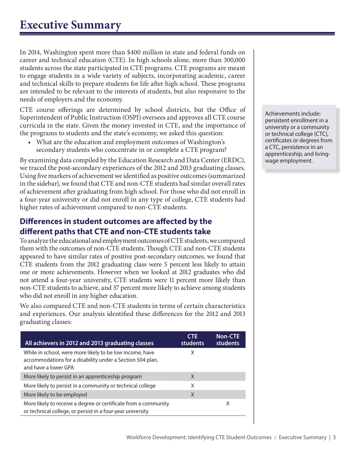<span id="page-2-0"></span>In 2014, Washington spent more than \$400 million in state and federal funds on career and technical education (CTE). In high schools alone, more than 300,000 students across the state participated in CTE programs. CTE programs are meant to engage students in a wide variety of subjects, incorporating academic, career and technical skills to prepare students for life after high school. These programs are intended to be relevant to the interests of students, but also responsive to the needs of employers and the economy.

CTE course offerings are determined by school districts, but the Office of Superintendent of Public Instruction (OSPI) oversees and approves all CTE course curricula in the state. Given the money invested in CTE, and the importance of the programs to students and the state's economy, we asked this question:

• What are the education and employment outcomes of Washington's secondary students who concentrate in or complete a CTE program?

By examining data compiled by the Education Research and Data Center (ERDC), we traced the post-secondary experiences of the 2012 and 2013 graduating classes. Using five markers of achievement we identified as positive outcomes (summarized in the sidebar), we found that CTE and non-CTE students had similar overall rates of achievement after graduating from high school. For those who did not enroll in a four-year university or did not enroll in any type of college, CTE students had higher rates of achievement compared to non-CTE students.

## **Differences in student outcomes are affected by the different paths that CTE and non-CTE students take**

To analyze the educational and employment outcomes of CTE students, we compared them with the outcomes of non-CTE students. Though CTE and non-CTE students appeared to have similar rates of positive post-secondary outcomes, we found that CTE students from the 2012 graduating class were 5 percent less likely to attain one or more achievements. However when we looked at 2012 graduates who did not attend a four-year university, CTE students were 11 percent more likely than non-CTE students to achieve, and 37 percent more likely to achieve among students who did not enroll in any higher education.

We also compared CTE and non-CTE students in terms of certain characteristics and experiences. Our analysis identified these differences for the 2012 and 2013 graduating classes:

| All achievers in 2012 and 2013 graduating classes                                                                                             | <b>CTE</b><br><b>students</b> | <b>Non-CTE</b><br><b>students</b> |
|-----------------------------------------------------------------------------------------------------------------------------------------------|-------------------------------|-----------------------------------|
| While in school, were more likely to be low income, have<br>accommodations for a disability under a Section 504 plan,<br>and have a lower GPA | Χ                             |                                   |
| More likely to persist in an apprenticeship program                                                                                           | X                             |                                   |
| More likely to persist in a community or technical college                                                                                    | X                             |                                   |
| More likely to be employed                                                                                                                    | X                             |                                   |
| More likely to receive a degree or certificate from a community<br>or technical college, or persist in a four-year university                 |                               | X                                 |

Achievements include: persistent enrollment in a university or a community or technical college (CTC), certificates or degrees from a CTC, persistence in an apprenticeship, and livingwage employment.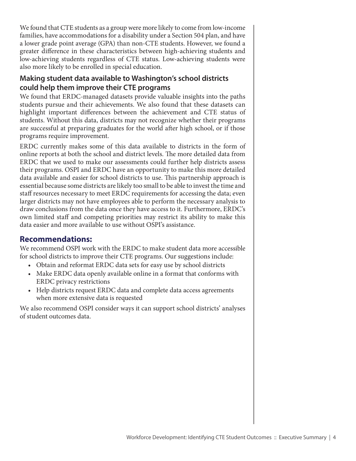We found that CTE students as a group were more likely to come from low-income families, have accommodations for a disability under a Section 504 plan, and have a lower grade point average (GPA) than non-CTE students. However, we found a greater difference in these characteristics between high-achieving students and low-achieving students regardless of CTE status. Low-achieving students were also more likely to be enrolled in special education.

## **Making student data available to Washington's school districts could help them improve their CTE programs**

We found that ERDC-managed datasets provide valuable insights into the paths students pursue and their achievements. We also found that these datasets can highlight important differences between the achievement and CTE status of students. Without this data, districts may not recognize whether their programs are successful at preparing graduates for the world after high school, or if those programs require improvement.

ERDC currently makes some of this data available to districts in the form of online reports at both the school and district levels. The more detailed data from ERDC that we used to make our assessments could further help districts assess their programs. OSPI and ERDC have an opportunity to make this more detailed data available and easier for school districts to use. This partnership approach is essential because some districts are likely too small to be able to invest the time and staff resources necessary to meet ERDC requirements for accessing the data; even larger districts may not have employees able to perform the necessary analysis to draw conclusions from the data once they have access to it. Furthermore, ERDC's own limited staff and competing priorities may restrict its ability to make this data easier and more available to use without OSPI's assistance.

## **Recommendations:**

We recommend OSPI work with the ERDC to make student data more accessible for school districts to improve their CTE programs. Our suggestions include:

- • Obtain and reformat ERDC data sets for easy use by school districts
- Make ERDC data openly available online in a format that conforms with ERDC privacy restrictions
- Help districts request ERDC data and complete data access agreements when more extensive data is requested

We also recommend OSPI consider ways it can support school districts' analyses of student outcomes data.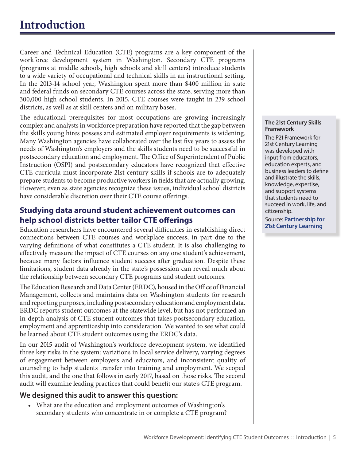<span id="page-4-0"></span>Career and Technical Education (CTE) programs are a key component of the workforce development system in Washington. Secondary CTE programs (programs at middle schools, high schools and skill centers) introduce students to a wide variety of occupational and technical skills in an instructional setting. In the 2013-14 school year, Washington spent more than \$400 million in state and federal funds on secondary CTE courses across the state, serving more than 300,000 high school students. In 2015, CTE courses were taught in 239 school districts, as well as at skill centers and on military bases.

The educational prerequisites for most occupations are growing increasingly complex and analysts in workforce preparation have reported that the gap between the skills young hires possess and estimated employer requirements is widening. Many Washington agencies have collaborated over the last five years to assess the needs of Washington's employers and the skills students need to be successful in postsecondary education and employment. The Office of Superintendent of Public Instruction (OSPI) and postsecondary educators have recognized that effective CTE curricula must incorporate 21st-century skills if schools are to adequately prepare students to become productive workers in fields that are actually growing. However, even as state agencies recognize these issues, individual school districts have considerable discretion over their CTE course offerings.

#### **Studying data around student achievement outcomes can help school districts better tailor CTE offerings**

Education researchers have encountered several difficulties in establishing direct connections between CTE courses and workplace success, in part due to the varying definitions of what constitutes a CTE student. It is also challenging to effectively measure the impact of CTE courses on any one student's achievement, because many factors influence student success after graduation. Despite these limitations, student data already in the state's possession can reveal much about the relationship between secondary CTE programs and student outcomes.

The Education Research and Data Center (ERDC), housed in the Office of Financial Management, collects and maintains data on Washington students for research and reporting purposes, including postsecondary education and employment data. ERDC reports student outcomes at the statewide level, but has not performed an in-depth analysis of CTE student outcomes that takes postsecondary education, employment and apprenticeship into consideration. We wanted to see what could be learned about CTE student outcomes using the ERDC's data.

In our 2015 audit of Washington's workforce development system, we identified three key risks in the system: variations in local service delivery, varying degrees of engagement between employers and educators, and inconsistent quality of counseling to help students transfer into training and employment. We scoped this audit, and the one that follows in early 2017, based on those risks. The second audit will examine leading practices that could benefit our state's CTE program.

#### **We designed this audit to answer this question:**

What are the education and employment outcomes of Washington's secondary students who concentrate in or complete a CTE program?

#### **The 21st Century Skills Framework**

The P21 Framework for 21st Century Learning was developed with input from educators, education experts, and business leaders to define and illustrate the skills, knowledge, expertise, and support systems that students need to succeed in work, life, and citizenship.

Source: **Partnership for [21st Century Learning](http://www.p21.org/storage/documents/docs/P21_framework_0816.pdf)**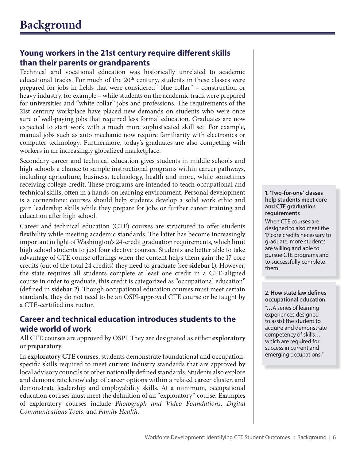## <span id="page-5-0"></span>**Young workers in the 21st century require different skills than their parents or grandparents**

Technical and vocational education was historically unrelated to academic educational tracks. For much of the 20<sup>th</sup> century, students in these classes were prepared for jobs in fields that were considered "blue collar" – construction or heavy industry, for example – while students on the academic track were prepared for universities and "white collar" jobs and professions. The requirements of the 21st century workplace have placed new demands on students who were once sure of well-paying jobs that required less formal education. Graduates are now expected to start work with a much more sophisticated skill set. For example, manual jobs such as auto mechanic now require familiarity with electronics or computer technology. Furthermore, today's graduates are also competing with workers in an increasingly globalized marketplace.

Secondary career and technical education gives students in middle schools and high schools a chance to sample instructional programs within career pathways, including agriculture, business, technology, health and more, while sometimes receiving college credit. These programs are intended to teach occupational and technical skills, often in a hands-on learning environment. Personal development is a cornerstone: courses should help students develop a solid work ethic and gain leadership skills while they prepare for jobs or further career training and education after high school.

Career and technical education (CTE) courses are structured to offer students flexibility while meeting academic standards. The latter has become increasingly important in light of Washington's 24-credit graduation requirements, which limit high school students to just four elective courses. Students are better able to take advantage of CTE course offerings when the content helps them gain the 17 core credits (out of the total 24 credits) they need to graduate (see **sidebar 1**). However, the state requires all students complete at least one credit in a CTE-aligned course in order to graduate; this credit is categorized as "occupational education" (defined in sidebar 2). Though occupational education courses must meet certain standards, they do not need to be an OSPI-approved CTE course or be taught by a CTE-certified instructor.

## **Career and technical education introduces students to the wide world of work**

All CTE courses are approved by OSPI. They are designated as either exploratory or **preparatory**.

In **exploratory CTE courses**, students demonstrate foundational and occupationspecific skills required to meet current industry standards that are approved by local advisory councils or other nationally defined standards. Students also explore and demonstrate knowledge of career options within a related career cluster, and demonstrate leadership and employability skills. At a minimum, occupational education courses must meet the definition of an "exploratory" course. Examples of exploratory courses include *Photograph and Video Foundations, Digital Communications Tools,* and *Family Health.*

**1. 'Two-for-one' classes help students meet core and CTE graduation requirements**

When CTE courses are designed to also meet the 17 core credits necessary to graduate, more students are willing and able to pursue CTE programs and to successfully complete them.

#### **2. How state law defines occupational education**

"…A series of learning experiences designed to assist the student to acquire and demonstrate competency of skills… which are required for success in current and emerging occupations."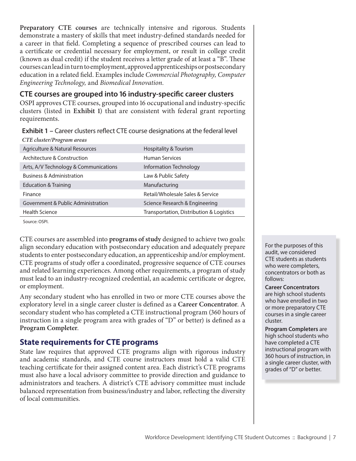**Preparatory CTE courses** are technically intensive and rigorous. Students demonstrate a mastery of skills that meet industry-defined standards needed for a career in that field. Completing a sequence of prescribed courses can lead to a certificate or credential necessary for employment, or result in college credit (known as dual credit) if the student receives a letter grade of at least a "B". These courses can lead in turn to employment, approved apprenticeships or postsecondary education in a related field. Examples include *Commercial Photography, Computer Engineering Technology,* and *Biomedical Innovation.*

#### **CTE courses are grouped into 16 industry-specific career clusters**

OSPI approves CTE courses, grouped into 16 occupational and industry-specific clusters (listed in **Exhibit 1**) that are consistent with federal grant reporting requirements.

**Exhibit 1 –** Career clusters reflect CTE course designations at the federal level

| CTE cluster/Program areas             |                                          |
|---------------------------------------|------------------------------------------|
| Agriculture & Natural Resources       | Hospitality & Tourism                    |
| Architecture & Construction           | <b>Human Services</b>                    |
| Arts, A/V Technology & Communications | Information Technology                   |
| <b>Business &amp; Administration</b>  | Law & Public Safety                      |
| Education & Training                  | Manufacturing                            |
| Finance                               | Retail/Wholesale Sales & Service         |
| Government & Public Administration    | Science Research & Engineering           |
| <b>Health Science</b>                 | Transportation, Distribution & Logistics |
|                                       |                                          |

Source: OSPI.

CTE courses are assembled into **programs of study** designed to achieve two goals: align secondary education with postsecondary education and adequately prepare students to enter postsecondary education, an apprenticeship and/or employment. CTE programs of study offer a coordinated, progressive sequence of CTE courses and related learning experiences. Among other requirements, a program of study must lead to an industry-recognized credential, an academic certificate or degree, or employment.

Any secondary student who has enrolled in two or more CTE courses above the exploratory level in a single career cluster is defined as a **Career Concentrator**. A secondary student who has completed a CTE instructional program (360 hours of instruction in a single program area with grades of "D" or better) is defined as a **Program Completer**.

## **State requirements for CTE programs**

State law requires that approved CTE programs align with rigorous industry and academic standards, and CTE course instructors must hold a valid CTE teaching certificate for their assigned content area. Each district's CTE programs must also have a local advisory committee to provide direction and guidance to administrators and teachers. A district's CTE advisory committee must include balanced representation from business/industry and labor, reflecting the diversity of local communities.

For the purposes of this audit, we considered CTE students as students who were completers, concentrators or both as follows:

**Career Concentrators** are high school students who have enrolled in two or more preparatory CTE courses in a single career cluster.

**Program Completers** are high school students who have completed a CTE instructional program with 360 hours of instruction, in a single career cluster, with grades of "D" or better.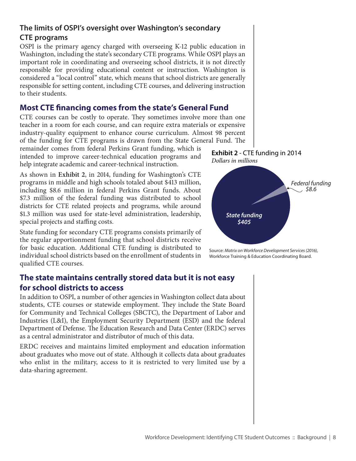#### **The limits of OSPI's oversight over Washington's secondary CTE programs**

OSPI is the primary agency charged with overseeing K-12 public education in Washington, including the state's secondary CTE programs. While OSPI plays an important role in coordinating and overseeing school districts, it is not directly responsible for providing educational content or instruction. Washington is considered a "local control" state, which means that school districts are generally responsible for setting content, including CTE courses, and delivering instruction to their students.

#### **Most CTE financing comes from the state's General Fund**

CTE courses can be costly to operate. They sometimes involve more than one teacher in a room for each course, and can require extra materials or expensive industry-quality equipment to enhance course curriculum. Almost 98 percent of the funding for CTE programs is drawn from the State General Fund. The

remainder comes from federal Perkins Grant funding, which is intended to improve career-technical education programs and help integrate academic and career-technical instruction.

As shown in **Exhibit 2**, in 2014, funding for Washington's CTE programs in middle and high schools totaled about \$413 million, including \$8.6 million in federal Perkins Grant funds. About \$7.3 million of the federal funding was distributed to school districts for CTE related projects and programs, while around \$1.3 million was used for state-level administration, leadership, special projects and staffing costs.

State funding for secondary CTE programs consists primarily of the regular apportionment funding that school districts receive for basic education. Additional CTE funding is distributed to individual school districts based on the enrollment of students in qualified CTE courses.

#### **The state maintains centrally stored data but it is not easy for school districts to access**

In addition to OSPI, a number of other agencies in Washington collect data about students, CTE courses or statewide employment. They include the State Board for Community and Technical Colleges (SBCTC), the Department of Labor and Industries (L&I), the Employment Security Department (ESD) and the federal Department of Defense. The Education Research and Data Center (ERDC) serves as a central administrator and distributor of much of this data.

ERDC receives and maintains limited employment and education information about graduates who move out of state. Although it collects data about graduates who enlist in the military, access to it is restricted to very limited use by a data-sharing agreement.





Source: *Matrix on Workforce Development Services (2016)*, Workforce Training & Education Coordinating Board.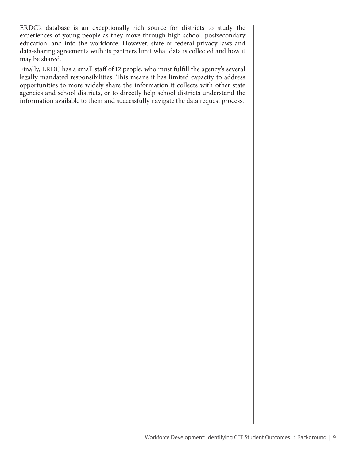ERDC's database is an exceptionally rich source for districts to study the experiences of young people as they move through high school, postsecondary education, and into the workforce. However, state or federal privacy laws and data-sharing agreements with its partners limit what data is collected and how it may be shared.

Finally, ERDC has a small staff of 12 people, who must fulfill the agency's several legally mandated responsibilities. This means it has limited capacity to address opportunities to more widely share the information it collects with other state agencies and school districts, or to directly help school districts understand the information available to them and successfully navigate the data request process.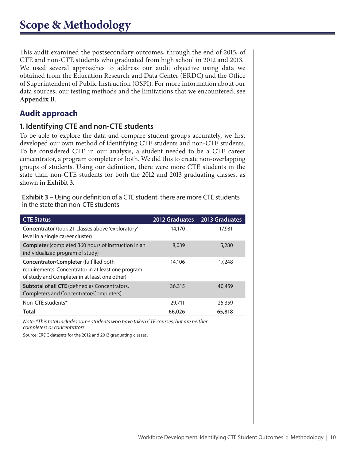<span id="page-9-0"></span>This audit examined the postsecondary outcomes, through the end of 2015, of CTE and non-CTE students who graduated from high school in 2012 and 2013. We used several approaches to address our audit objective using data we obtained from the Education Research and Data Center (ERDC) and the Office of Superintendent of Public Instruction (OSPI). For more information about our data sources, our testing methods and the limitations that we encountered, see **Appendix B**.

## **Audit approach**

#### **1. Identifying CTE and non-CTE students**

To be able to explore the data and compare student groups accurately, we first developed our own method of identifying CTE students and non-CTE students. To be considered CTE in our analysis, a student needed to be a CTE career concentrator, a program completer or both. We did this to create non-overlapping groups of students. Using our definition, there were more CTE students in the state than non-CTE students for both the 2012 and 2013 graduating classes, as shown in **Exhibit 3**.

**Exhibit 3 –** Using our definition of a CTE student, there are more CTE students in the state than non-CTE students

| <b>CTE Status</b>                                                                                                                             | <b>2012 Graduates</b> | 2013 Graduates |
|-----------------------------------------------------------------------------------------------------------------------------------------------|-----------------------|----------------|
| Concentrator (took 2+ classes above 'exploratory'<br>level in a single career cluster)                                                        | 14,170                | 17,931         |
| Completer (completed 360 hours of instruction in an<br>individualized program of study)                                                       | 8,039                 | 5,280          |
| Concentrator/Completer (fulfilled both<br>requirements: Concentrator in at least one program<br>of study and Completer in at least one other) | 14,106                | 17,248         |
| <b>Subtotal of all CTE</b> (defined as Concentrators,<br>Completers and Concentrator/Completers)                                              | 36,315                | 40,459         |
| Non-CTE students*                                                                                                                             | 29,711                | 25,359         |
| Total                                                                                                                                         | 66,026                | 65,818         |

*Note: \*This total includes some students who have taken CTE courses, but are neither completers or concentrators.*

Source: ERDC datasets for the 2012 and 2013 graduating classes.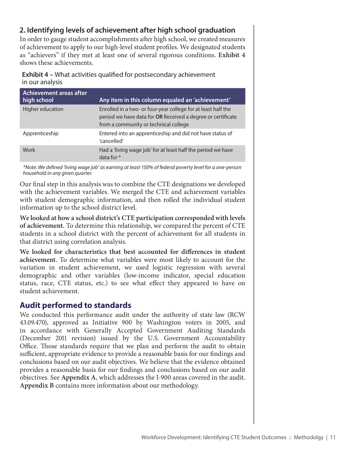#### **2. Identifying levels of achievement after high school graduation**

In order to gauge student accomplishments after high school, we created measures of achievement to apply to our high-level student profiles. We designated students as "achievers" if they met at least one of several rigorous conditions. **Exhibit 4**  shows these achievements.

**Exhibit 4 –** What activities qualified for postsecondary achievement in our analysis

| Achievement areas after<br>high school | Any item in this column equaled an 'achievement'                                                                                                                      |
|----------------------------------------|-----------------------------------------------------------------------------------------------------------------------------------------------------------------------|
| Higher education                       | Enrolled in a two- or four-year college for at least half the<br>period we have data for OR Received a degree or certificate<br>from a community or technical college |
| Apprenticeship                         | Entered into an apprenticeship and did not have status of<br>'cancelled'                                                                                              |
| Work                                   | Had a 'living wage job' for at least half the period we have<br>data for $*$                                                                                          |

*\*Note: We defined 'living wage job' as earning at least 150% of federal poverty level for a one-person household in any given quarter.* 

Our final step in this analysis was to combine the CTE designations we developed with the achievement variables. We merged the CTE and achievement variables with student demographic information, and then rolled the individual student information up to the school district level.

**We looked at how a school district's CTE participation corresponded with levels of achievement.** To determine this relationship, we compared the percent of CTE students in a school district with the percent of achievement for all students in that district using correlation analysis.

**We looked for characteristics that best accounted for differences in student achievement.** To determine what variables were most likely to account for the variation in student achievement, we used logistic regression with several demographic and other variables (low-income indicator, special education status, race, CTE status, etc.) to see what effect they appeared to have on student achievement.

#### **Audit performed to standards**

We conducted this performance audit under the authority of state law (RCW 43.09.470), approved as Initiative 900 by Washington voters in 2005, and in accordance with Generally Accepted Government Auditing Standards (December 2011 revision) issued by the U.S. Government Accountability Office. Those standards require that we plan and perform the audit to obtain sufficient, appropriate evidence to provide a reasonable basis for our findings and conclusions based on our audit objectives. We believe that the evidence obtained provides a reasonable basis for our findings and conclusions based on our audit objectives. See **Appendix A**, which addresses the I-900 areas covered in the audit. **Appendix B** contains more information about our methodology.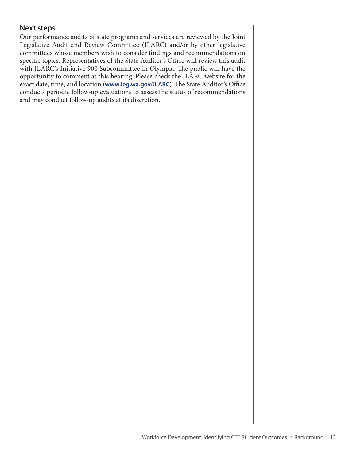#### **Next steps**

Our performance audits of state programs and services are reviewed by the Joint Legislative Audit and Review Committee (JLARC) and/or by other legislative committees whose members wish to consider findings and recommendations on specific topics. Representatives of the State Auditor's Office will review this audit with JLARC's Initiative 900 Subcommittee in Olympia. The public will have the opportunity to comment at this hearing. Please check the JLARC website for the exact date, time, and location (**[www.leg.wa.gov/JLARC](http://www.leg.wa.gov/jlarc)**). The State Auditor's Office conducts periodic follow-up evaluations to assess the status of recommendations and may conduct follow-up audits at its discretion.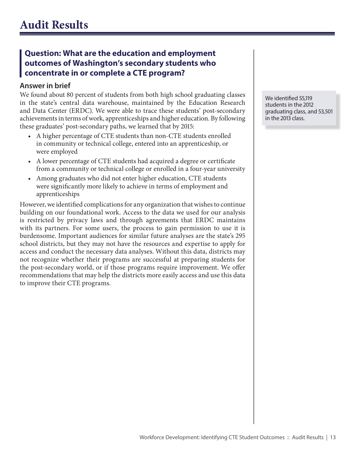## <span id="page-12-0"></span>**Question: What are the education and employment outcomes of Washington's secondary students who concentrate in or complete a CTE program?**

#### **Answer in brief**

We found about 80 percent of students from both high school graduating classes in the state's central data warehouse, maintained by the Education Research and Data Center (ERDC). We were able to trace these students' post-secondary achievements in terms of work, apprenticeships and higher education. By following these graduates' post-secondary paths, we learned that by 2015:

- A higher percentage of CTE students than non-CTE students enrolled in community or technical college, entered into an apprenticeship, or were employed
- A lower percentage of CTE students had acquired a degree or certificate from a community or technical college or enrolled in a four-year university
- Among graduates who did not enter higher education, CTE students were significantly more likely to achieve in terms of employment and apprenticeships

However, we identified complications for any organization that wishes to continue building on our foundational work. Access to the data we used for our analysis is restricted by privacy laws and through agreements that ERDC maintains with its partners. For some users, the process to gain permission to use it is burdensome. Important audiences for similar future analyses are the state's 295 school districts, but they may not have the resources and expertise to apply for access and conduct the necessary data analyses. Without this data, districts may not recognize whether their programs are successful at preparing students for the post-secondary world, or if those programs require improvement. We offer recommendations that may help the districts more easily access and use this data to improve their CTE programs.

We identified 55,119 students in the 2012 graduating class, and 53,501 in the 2013 class.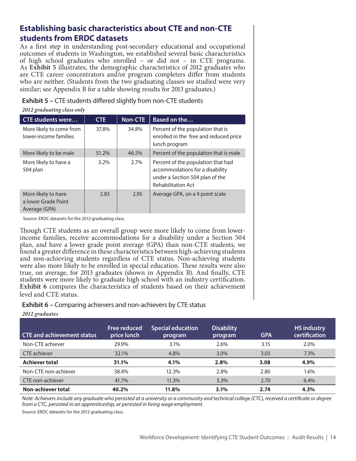## **Establishing basic characteristics about CTE and non-CTE students from ERDC datasets**

As a first step in understanding post-secondary educational and occupational outcomes of students in Washington, we established several basic characteristics of high school graduates who enrolled – or did not – in CTE programs. As **Exhibit 5** illustrates, the demographic characteristics of 2012 graduates who are CTE career concentrators and/or program completers differ from students who are neither. (Students from the two graduating classes we studied were very similar; see Appendix B for a table showing results for 2013 graduates.)

**Exhibit 5 –** CTE students differed slightly from non-CTE students

| 2012 graauating class only |            |       |                        |  |  |  |
|----------------------------|------------|-------|------------------------|--|--|--|
| <b>CTE students were</b>   | <b>CTE</b> |       | Non-CTE   Based on the |  |  |  |
| More likely to come from   | 37.8%      | 34.8% | Percent of the r       |  |  |  |

*2012 graduating class only*

|                                                             | - - - |       |                                                                                                                                       |
|-------------------------------------------------------------|-------|-------|---------------------------------------------------------------------------------------------------------------------------------------|
| More likely to come from<br>lower-income families           | 37.8% | 34.8% | Percent of the population that is<br>enrolled in the free and reduced price<br>lunch program                                          |
| More likely to be male                                      | 51.2% | 46.5% | Percent of the population that is male                                                                                                |
| More likely to have a<br>504 plan                           | 3.2%  | 2.7%  | Percent of the population that had<br>accommodations for a disability<br>under a Section 504 plan of the<br><b>Rehabilitation Act</b> |
| More likely to have<br>a lower Grade Point<br>Average (GPA) | 2.83  | 2.95  | Average GPA, on a 4 point scale                                                                                                       |

Source: ERDC datasets for the 2012 graduating class.

Though CTE students as an overall group were more likely to come from lowerincome families, receive accommodations for a disability under a Section 504 plan, and have a lower grade point average (GPA) than non-CTE students, we found a greater difference in these characteristics between high-achieving students and non-achieving students regardless of CTE status. Non-achieving students were also more likely to be enrolled in special education. These results were also true, on average, for 2013 graduates (shown in Appendix B). And finally, CTE students were more likely to graduate high school with an industry certification. **Exhibit 6** compares the characteristics of students based on their achievement level and CTE status.

#### **Exhibit 6 –** Comparing achievers and non-achievers by CTE status

| <b>CTE and achievement status</b> | <b>Free reduced</b><br>price lunch | <b>Special education</b><br>program | <b>Disability</b><br>program | <b>GPA</b> | <b>HS industry</b><br>certification |
|-----------------------------------|------------------------------------|-------------------------------------|------------------------------|------------|-------------------------------------|
| Non-CTE achiever                  | 29.9%                              | 3.1%                                | 2.6%                         | 3.15       | 2.0%                                |
| CTE achiever                      | 32.1%                              | 4.8%                                | 3.0%                         | 3.03       | 7.3%                                |
| <b>Achiever total</b>             | 31.1%                              | 4.1%                                | 2.8%                         | 3.08       | 4.9%                                |
| Non-CTE non-achiever              | 38.4%                              | 12.3%                               | 2.8%                         | 2.80       | 1.6%                                |
| CTE non-achiever                  | 41.7%                              | 11.3%                               | 3.3%                         | 2.70       | 6.4%                                |
| Non-achiever total                | 40.2%                              | 11.8%                               | 3.1%                         | 2.74       | 4.3%                                |

*2012 graduates*

*Note: Achievers include any graduate who persisted at a university or a community and technical college (CTC), received a certificate or degree from a CTC, persisted in an apprenticeship, or persisted in living wage employment.*

Source: ERDC datasets for the 2012 graduating class.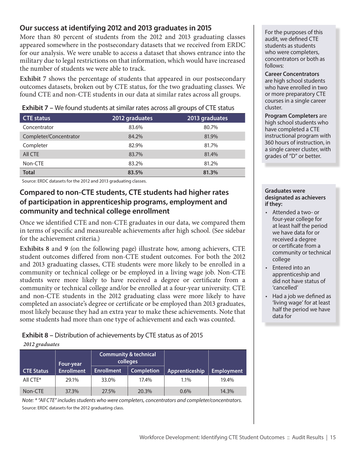#### **Our success at identifying 2012 and 2013 graduates in 2015**

More than 80 percent of students from the 2012 and 2013 graduating classes appeared somewhere in the postsecondary datasets that we received from ERDC for our analysis. We were unable to access a dataset that shows entrance into the military due to legal restrictions on that information, which would have increased the number of students we were able to track.

**Exhibit 7** shows the percentage of students that appeared in our postsecondary outcomes datasets, broken out by CTE status, for the two graduating classes. We found CTE and non-CTE students in our data at similar rates across all groups.

| <b>CTE</b> status      | 2012 graduates | 2013 graduates |
|------------------------|----------------|----------------|
| Concentrator           | 83.6%          | 80.7%          |
| Completer/Concentrator | 84.2%          | 81.9%          |
| Completer              | 82.9%          | 81.7%          |
| All CTE                | 83.7%          | 81.4%          |
| Non-CTE                | 83.2%          | 81.2%          |
| <b>Total</b>           | 83.5%          | 81.3%          |

**Exhibit 7 –** We found students at similar rates across all groups of CTE status

Source: ERDC datasets for the 2012 and 2013 graduating classes.

#### **Compared to non-CTE students, CTE students had higher rates of participation in apprenticeship programs, employment and community and technical college enrollment**

Once we identified CTE and non-CTE graduates in our data, we compared them in terms of specific and measureable achievements after high school. (See sidebar for the achievement criteria.)

**Exhibits 8** and **9** (on the following page) illustrate how, among achievers, CTE student outcomes differed from non-CTE student outcomes. For both the 2012 and 2013 graduating classes, CTE students were more likely to be enrolled in a community or technical college or be employed in a living wage job. Non-CTE students were more likely to have received a degree or certificate from a community or technical college and/or be enrolled at a four-year university. CTE and non-CTE students in the 2012 graduating class were more likely to have completed an associate's degree or certificate or be employed than 2013 graduates, most likely because they had an extra year to make these achievements. Note that some students had more than one type of achievement and each was counted.

**Exhibit 8 –** Distribution of achievements by CTE status as of 2015

#### *2012 graduates*

|                   | Four-year         | <b>Community &amp; technical</b><br>colleges |                   |                |                   |
|-------------------|-------------------|----------------------------------------------|-------------------|----------------|-------------------|
| <b>CTE Status</b> | <b>Enrollment</b> | <b>Enrollment</b>                            | <b>Completion</b> | Apprenticeship | <b>Employment</b> |
| All CTE*          | 29.1%             | 33.0%                                        | 17.4%             | 1.1%           | 19.4%             |
| Non-CTE           | 37.3%             | 27.5%                                        | 20.3%             | $0.6\%$        | 14.3%             |

*Note: \* "All CTE" includes students who were completers, concentrators and completer/concentrators.* Source: ERDC datasets for the 2012 graduating class.

For the purposes of this audit, we defined CTE students as students who were completers, concentrators or both as follows:

#### **Career Concentrators**

are high school students who have enrolled in two or more preparatory CTE courses in a single career cluster.

**Program Completers** are high school students who have completed a CTE instructional program with 360 hours of instruction, in a single career cluster, with grades of "D" or better.

#### **Graduates were designated as achievers if they:**

- • Attended a two- or four-year college for at least half the period we have data for or received a degree or certificate from a community or technical college
- • Entered into an apprenticeship and did not have status of 'cancelled'
- • Had a job we defined as 'living wage' for at least half the period we have data for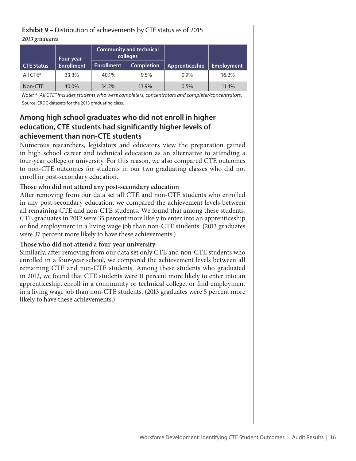#### **Exhibit 9 –** Distribution of achievements by CTE status as of 2015

#### *2013 graduates*

|                   | Four-year         | <b>Community and technical</b><br>colleges |                   |                |                   |
|-------------------|-------------------|--------------------------------------------|-------------------|----------------|-------------------|
| <b>CTE Status</b> | <b>Enrollment</b> | <b>Enrollment</b>                          | <b>Completion</b> | Apprenticeship | <b>Employment</b> |
| All CTE*          | 33.3%             | 40.1%                                      | 9.5%              | $0.9\%$        | 16.2%             |
| Non-CTE           | 40.0%             | 34.2%                                      | 13.9%             | 0.5%           | 11.4%             |

*Note: \* "All CTE" includes students who were completers, concentrators and completer/concentrators.* Source: ERDC datasets for the 2013 graduating class.

## **Among high school graduates who did not enroll in higher education, CTE students had significantly higher levels of achievement than non-CTE students**

Numerous researchers, legislators and educators view the preparation gained in high school career and technical education as an alternative to attending a four-year college or university. For this reason, we also compared CTE outcomes to non-CTE outcomes for students in our two graduating classes who did not enroll in post-secondary education.

#### **Those who did not attend any post-secondary education**

After removing from our data set all CTE and non-CTE students who enrolled in any post-secondary education, we compared the achievement levels between all remaining CTE and non-CTE students. We found that among these students, CTE graduates in 2012 were 35 percent more likely to enter into an apprenticeship or find employment in a living wage job than non-CTE students. (2013 graduates were 37 percent more likely to have these achievements.)

#### **Those who did not attend a four-year university**

Similarly, after removing from our data set only CTE and non-CTE students who enrolled in a four-year school, we compared the achievement levels between all remaining CTE and non-CTE students. Among these students who graduated in 2012, we found that CTE students were 11 percent more likely to enter into an apprenticeship, enroll in a community or technical college, or find employment in a living wage job than non-CTE students. (2013 graduates were 5 percent more likely to have these achievements.)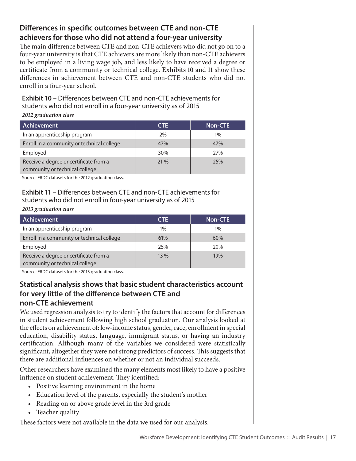## **Differences in specific outcomes between CTE and non-CTE achievers for those who did not attend a four-year university**

The main difference between CTE and non-CTE achievers who did not go on to a four-year university is that CTE achievers are more likely than non-CTE achievers to be employed in a living wage job, and less likely to have received a degree or certificate from a community or technical college. **Exhibits 10** and **11** show these differences in achievement between CTE and non-CTE students who did not enroll in a four-year school.

**Exhibit 10 –** Differences between CTE and non-CTE achievements for students who did not enroll in a four-year university as of 2015

*2012 graduation class*

| <b>Achievement</b>                                                       | CTE. | <b>Non-CTE</b> |
|--------------------------------------------------------------------------|------|----------------|
| In an apprenticeship program                                             | 2%   | 1%             |
| Enroll in a community or technical college                               | 47%  | 47%            |
| Employed                                                                 | 30%  | 27%            |
| Receive a degree or certificate from a<br>community or technical college | 21 % | 25%            |

Source: ERDC datasets for the 2012 graduating class.

#### **Exhibit 11 –** Differences between CTE and non-CTE achievements for students who did not enroll in four-year university as of 2015

*2013 graduation class*

| <b>Achievement</b>                                                       | <b>CTE</b> | <b>Non-CTE</b> |
|--------------------------------------------------------------------------|------------|----------------|
| In an apprenticeship program                                             | $1\%$      | $1\%$          |
| Enroll in a community or technical college                               | 61%        | 60%            |
| Employed                                                                 | 25%        | 20%            |
| Receive a degree or certificate from a<br>community or technical college | 13%        | 19%            |

Source: ERDC datasets for the 2013 graduating class.

#### **Statistical analysis shows that basic student characteristics account for very little of the difference between CTE and non-CTE achievement**

We used regression analysis to try to identify the factors that account for differences in student achievement following high school graduation. Our analysis looked at the effects on achievement of: low-income status, gender, race, enrollment in special education, disability status, language, immigrant status, or having an industry certification. Although many of the variables we considered were statistically significant, altogether they were not strong predictors of success. This suggests that there are additional influences on whether or not an individual succeeds.

Other researchers have examined the many elements most likely to have a positive influence on student achievement. They identified:

- Positive learning environment in the home
- Education level of the parents, especially the student's mother
- • Reading on or above grade level in the 3rd grade
- Teacher quality

These factors were not available in the data we used for our analysis.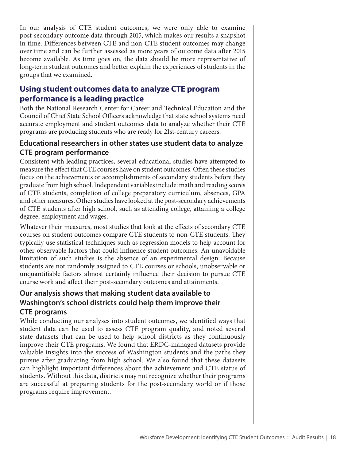In our analysis of CTE student outcomes, we were only able to examine post-secondary outcome data through 2015, which makes our results a snapshot in time. Differences between CTE and non-CTE student outcomes may change over time and can be further assessed as more years of outcome data after 2015 become available. As time goes on, the data should be more representative of long-term student outcomes and better explain the experiences of students in the groups that we examined.

## **Using student outcomes data to analyze CTE program performance is a leading practice**

Both the National Research Center for Career and Technical Education and the Council of Chief State School Officers acknowledge that state school systems need accurate employment and student outcomes data to analyze whether their CTE programs are producing students who are ready for 21st-century careers.

#### **Educational researchers in other states use student data to analyze CTE program performance**

Consistent with leading practices, several educational studies have attempted to measure the effect that CTE courses have on student outcomes. Often these studies focus on the achievements or accomplishments of secondary students before they graduate from high school. Independent variables include: math and reading scores of CTE students, completion of college preparatory curriculum, absences, GPA and other measures. Other studies have looked at the post-secondary achievements of CTE students after high school, such as attending college, attaining a college degree, employment and wages.

Whatever their measures, most studies that look at the effects of secondary CTE courses on student outcomes compare CTE students to non-CTE students. They typically use statistical techniques such as regression models to help account for other observable factors that could influence student outcomes. An unavoidable limitation of such studies is the absence of an experimental design. Because students are not randomly assigned to CTE courses or schools, unobservable or unquantifiable factors almost certainly influence their decision to pursue CTE course work and affect their post-secondary outcomes and attainments.

#### **Our analysis shows that making student data available to Washington's school districts could help them improve their CTE programs**

While conducting our analyses into student outcomes, we identified ways that student data can be used to assess CTE program quality, and noted several state datasets that can be used to help school districts as they continuously improve their CTE programs. We found that ERDC-managed datasets provide valuable insights into the success of Washington students and the paths they pursue after graduating from high school. We also found that these datasets can highlight important differences about the achievement and CTE status of students. Without this data, districts may not recognize whether their programs are successful at preparing students for the post-secondary world or if those programs require improvement.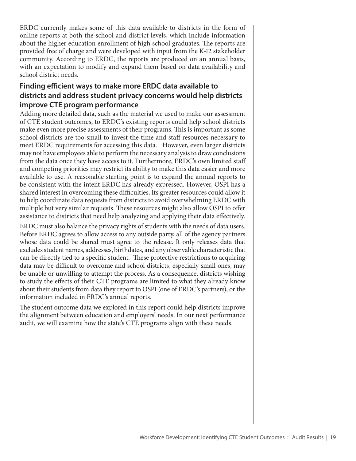ERDC currently makes some of this data available to districts in the form of online reports at both the school and district levels, which include information about the higher education enrollment of high school graduates. The reports are provided free of charge and were developed with input from the K-12 stakeholder community. According to ERDC, the reports are produced on an annual basis, with an expectation to modify and expand them based on data availability and school district needs.

#### **Finding efficient ways to make more ERDC data available to districts and address student privacy concerns would help districts improve CTE program performance**

Adding more detailed data, such as the material we used to make our assessment of CTE student outcomes, to ERDC's existing reports could help school districts make even more precise assessments of their programs. This is important as some school districts are too small to invest the time and staff resources necessary to meet ERDC requirements for accessing this data. However, even larger districts may not have employees able to perform the necessary analysis to draw conclusions from the data once they have access to it. Furthermore, ERDC's own limited staff and competing priorities may restrict its ability to make this data easier and more available to use. A reasonable starting point is to expand the annual reports to be consistent with the intent ERDC has already expressed. However, OSPI has a shared interest in overcoming these difficulties. Its greater resources could allow it to help coordinate data requests from districts to avoid overwhelming ERDC with multiple but very similar requests. These resources might also allow OSPI to offer assistance to districts that need help analyzing and applying their data effectively.

ERDC must also balance the privacy rights of students with the needs of data users. Before ERDC agrees to allow access to any outside party, all of the agency partners whose data could be shared must agree to the release. It only releases data that excludes student names, addresses, birthdates, and any observable characteristic that can be directly tied to a specific student. These protective restrictions to acquiring data may be difficult to overcome and school districts, especially small ones, may be unable or unwilling to attempt the process. As a consequence, districts wishing to study the effects of their CTE programs are limited to what they already know about their students from data they report to OSPI (one of ERDC's partners), or the information included in ERDC's annual reports.

The student outcome data we explored in this report could help districts improve the alignment between education and employers' needs. In our next performance audit, we will examine how the state's CTE programs align with these needs.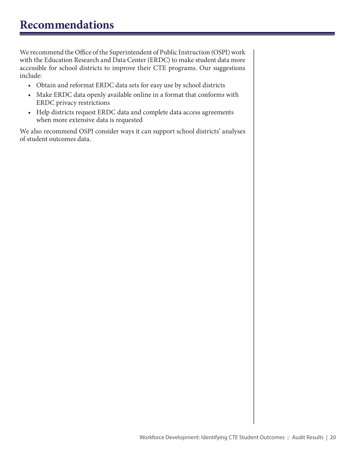<span id="page-19-0"></span>We recommend the Office of the Superintendent of Public Instruction (OSPI) work with the Education Research and Data Center (ERDC) to make student data more accessible for school districts to improve their CTE programs. Our suggestions include:

- • Obtain and reformat ERDC data sets for easy use by school districts
- • Make ERDC data openly available online in a format that conforms with ERDC privacy restrictions
- Help districts request ERDC data and complete data access agreements when more extensive data is requested

We also recommend OSPI consider ways it can support school districts' analyses of student outcomes data.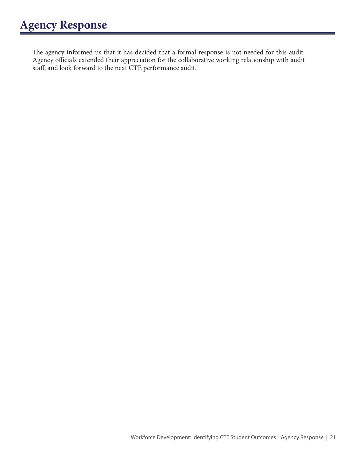<span id="page-20-0"></span>The agency informed us that it has decided that a formal response is not needed for this audit. Agency officials extended their appreciation for the collaborative working relationship with audit staff, and look forward to the next CTE performance audit.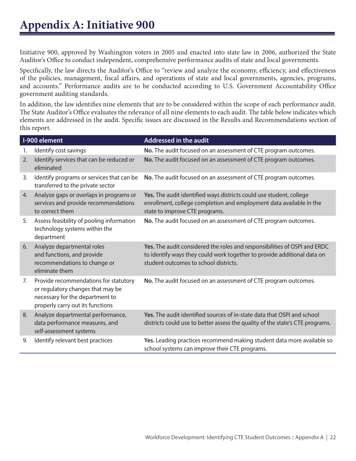<span id="page-21-0"></span>Initiative 900, approved by Washington voters in 2005 and enacted into state law in 2006, authorized the State Auditor's Office to conduct independent, comprehensive performance audits of state and local governments.

Specifically, the law directs the Auditor's Office to "review and analyze the economy, efficiency, and effectiveness of the policies, management, fiscal affairs, and operations of state and local governments, agencies, programs, and accounts." Performance audits are to be conducted according to U.S. Government Accountability Office government auditing standards.

In addition, the law identifies nine elements that are to be considered within the scope of each performance audit. The State Auditor's Office evaluates the relevance of all nine elements to each audit. The table below indicates which elements are addressed in the audit. Specific issues are discussed in the Results and Recommendations section of this report.

|    | I-900 element                                                                                                                                     | Addressed in the audit                                                                                                                                                                        |
|----|---------------------------------------------------------------------------------------------------------------------------------------------------|-----------------------------------------------------------------------------------------------------------------------------------------------------------------------------------------------|
| 1. | Identify cost savings                                                                                                                             | No. The audit focused on an assessment of CTE program outcomes.                                                                                                                               |
| 2. | Identify services that can be reduced or<br>eliminated                                                                                            | No. The audit focused on an assessment of CTE program outcomes.                                                                                                                               |
| 3. | Identify programs or services that can be<br>transferred to the private sector                                                                    | No. The audit focused on an assessment of CTE program outcomes.                                                                                                                               |
| 4. | Analyze gaps or overlaps in programs or<br>services and provide recommendations<br>to correct them                                                | Yes. The audit identified ways districts could use student, college<br>enrollment, college completion and employment data available in the<br>state to improve CTE programs.                  |
| 5. | Assess feasibility of pooling information<br>technology systems within the<br>department                                                          | No. The audit focused on an assessment of CTE program outcomes.                                                                                                                               |
| 6. | Analyze departmental roles<br>and functions, and provide<br>recommendations to change or<br>eliminate them                                        | Yes. The audit considered the roles and responsibilities of OSPI and ERDC<br>to identify ways they could work together to provide additional data on<br>student outcomes to school districts. |
| 7. | Provide recommendations for statutory<br>or regulatory changes that may be<br>necessary for the department to<br>properly carry out its functions | No. The audit focused on an assessment of CTE program outcomes.                                                                                                                               |
| 8. | Analyze departmental performance,<br>data performance measures, and<br>self-assessment systems                                                    | Yes. The audit identified sources of in-state data that OSPI and school<br>districts could use to better assess the quality of the state's CTE programs.                                      |
| 9. | Identify relevant best practices                                                                                                                  | Yes. Leading practices recommend making student data more available so<br>school systems can improve their CTE programs.                                                                      |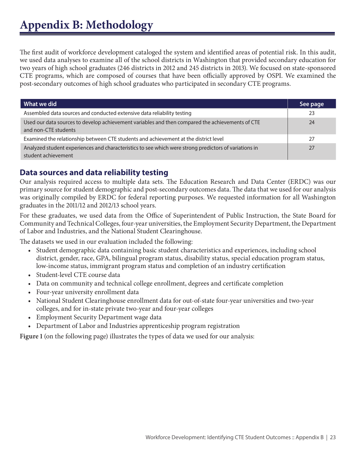## <span id="page-22-0"></span>**Appendix B: Methodology**

The first audit of workforce development cataloged the system and identified areas of potential risk. In this audit, we used data analyses to examine all of the school districts in Washington that provided secondary education for two years of high school graduates (246 districts in 2012 and 245 districts in 2013). We focused on state-sponsored CTE programs, which are composed of courses that have been officially approved by OSPI. We examined the post-secondary outcomes of high school graduates who participated in secondary CTE programs.

| What we did                                                                                                                  | See page |
|------------------------------------------------------------------------------------------------------------------------------|----------|
| Assembled data sources and conducted extensive data reliability testing                                                      | 23       |
| Used our data sources to develop achievement variables and then compared the achievements of CTE<br>and non-CTE students     | 24       |
| Examined the relationship between CTE students and achievement at the district level                                         | 27       |
| Analyzed student experiences and characteristics to see which were strong predictors of variations in<br>student achievement | 27       |

#### **Data sources and data reliability testing**

Our analysis required access to multiple data sets. The Education Research and Data Center (ERDC) was our primary source for student demographic and post-secondary outcomes data. The data that we used for our analysis was originally compiled by ERDC for federal reporting purposes. We requested information for all Washington graduates in the 2011/12 and 2012/13 school years.

For these graduates, we used data from the Office of Superintendent of Public Instruction, the State Board for Community and Technical Colleges, four-year universities, the Employment Security Department, the Department of Labor and Industries, and the National Student Clearinghouse.

The datasets we used in our evaluation included the following:

- • Student demographic data containing basic student characteristics and experiences, including school district, gender, race, GPA, bilingual program status, disability status, special education program status, low-income status, immigrant program status and completion of an industry certification
- • Student-level CTE course data
- Data on community and technical college enrollment, degrees and certificate completion
- • Four-year university enrollment data
- • National Student Clearinghouse enrollment data for out-of-state four-year universities and two-year colleges, and for in-state private two-year and four-year colleges
- Employment Security Department wage data
- Department of Labor and Industries apprenticeship program registration

**Figure 1** (on the following page) illustrates the types of data we used for our analysis: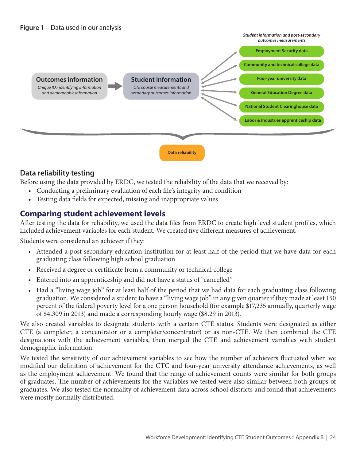



#### **Data reliability testing**

Before using the data provided by ERDC, we tested the reliability of the data that we received by:

- • Conducting a preliminary evaluation of each file's integrity and condition
- Testing data fields for expected, missing and inappropriate values

#### **Comparing student achievement levels**

After testing the data for reliability, we used the data files from ERDC to create high level student profiles, which included achievement variables for each student. We created five different measures of achievement.

Students were considered an achiever if they:

- • Attended a post-secondary education institution for at least half of the period that we have data for each graduating class following high school graduation
- Received a degree or certificate from a community or technical college
- Entered into an apprenticeship and did not have a status of "cancelled"
- Had a "living wage job" for at least half of the period that we had data for each graduating class following graduation. We considered a student to have a "living wage job" in any given quarter if they made at least 150 percent of the federal poverty level for a one person household (for example \$17,235 annually, quarterly wage of \$4,309 in 2013) and made a corresponding hourly wage (\$8.29 in 2013).

We also created variables to designate students with a certain CTE status. Students were designated as either CTE (a completer, a concentrator or a completer/concentrator) or as non-CTE. We then combined the CTE designations with the achievement variables, then merged the CTE and achievement variables with student demographic information.

We tested the sensitivity of our achievement variables to see how the number of achievers fluctuated when we modified our definition of achievement for the CTC and four-year university attendance achievements, as well as the employment achievement. We found that the range of achievement counts were similar for both groups of graduates. The number of achievements for the variables we tested were also similar between both groups of graduates. We also tested the normality of achievement data across school districts and found that achievements were mostly normally distributed.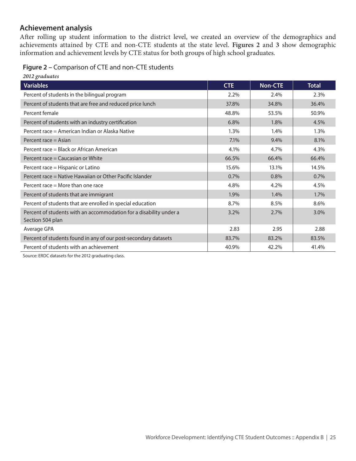#### **Achievement analysis**

After rolling up student information to the district level, we created an overview of the demographics and achievements attained by CTE and non-CTE students at the state level. **Figures 2** and **3** show demographic information and achievement levels by CTE status for both groups of high school graduates.

|  |  |  | Figure 2 - Comparison of CTE and non-CTE students |
|--|--|--|---------------------------------------------------|
|  |  |  |                                                   |

| 2012 graduates                                                                         |            |                |              |
|----------------------------------------------------------------------------------------|------------|----------------|--------------|
| <b>Variables</b>                                                                       | <b>CTE</b> | <b>Non-CTE</b> | <b>Total</b> |
| Percent of students in the bilingual program                                           | 2.2%       | 2.4%           | 2.3%         |
| Percent of students that are free and reduced price lunch                              | 37.8%      | 34.8%          | 36.4%        |
| Percent female                                                                         | 48.8%      | 53.5%          | 50.9%        |
| Percent of students with an industry certification                                     | 6.8%       | 1.8%           | 4.5%         |
| Percent race = American Indian or Alaska Native                                        | 1.3%       | 1.4%           | 1.3%         |
| Percent race = Asian                                                                   | 7.1%       | 9.4%           | 8.1%         |
| Percent race = Black or African American                                               | 4.1%       | 4.7%           | 4.3%         |
| Percent race = Caucasian or White                                                      | 66.5%      | 66.4%          | 66.4%        |
| Percent race = Hispanic or Latino                                                      | 15.6%      | 13.1%          | 14.5%        |
| Percent race = Native Hawaiian or Other Pacific Islander                               | 0.7%       | 0.8%           | 0.7%         |
| Percent race = More than one race                                                      | 4.8%       | 4.2%           | 4.5%         |
| Percent of students that are immigrant                                                 | 1.9%       | 1.4%           | 1.7%         |
| Percent of students that are enrolled in special education                             | 8.7%       | 8.5%           | 8.6%         |
| Percent of students with an accommodation for a disability under a<br>Section 504 plan | 3.2%       | 2.7%           | 3.0%         |
| Average GPA                                                                            | 2.83       | 2.95           | 2.88         |
| Percent of students found in any of our post-secondary datasets                        | 83.7%      | 83.2%          | 83.5%        |
| Percent of students with an achievement                                                | 40.9%      | 42.2%          | 41.4%        |

Source: ERDC datasets for the 2012 graduating class.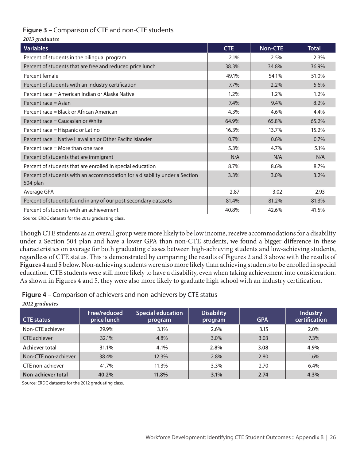#### **Figure 3 –** Comparison of CTE and non-CTE students

| 2013 graduates                                                                         |            |         |              |
|----------------------------------------------------------------------------------------|------------|---------|--------------|
| <b>Variables</b>                                                                       | <b>CTE</b> | Non-CTE | <b>Total</b> |
| Percent of students in the bilingual program                                           | 2.1%       | 2.5%    | 2.3%         |
| Percent of students that are free and reduced price lunch                              | 38.3%      | 34.8%   | 36.9%        |
| Percent female                                                                         | 49.1%      | 54.1%   | 51.0%        |
| Percent of students with an industry certification                                     | 7.7%       | 2.2%    | 5.6%         |
| Percent race = American Indian or Alaska Native                                        | 1.2%       | 1.2%    | 1.2%         |
| Percent race = Asian                                                                   | 7.4%       | 9.4%    | 8.2%         |
| Percent race = Black or African American                                               | 4.3%       | 4.6%    | 4.4%         |
| Percent race = Caucasian or White                                                      | 64.9%      | 65.8%   | 65.2%        |
| Percent race = Hispanic or Latino                                                      | 16.3%      | 13.7%   | 15.2%        |
| Percent race = Native Hawaiian or Other Pacific Islander                               | 0.7%       | 0.6%    | 0.7%         |
| Percent race $=$ More than one race                                                    | 5.3%       | 4.7%    | 5.1%         |
| Percent of students that are immigrant                                                 | N/A        | N/A     | N/A          |
| Percent of students that are enrolled in special education                             | 8.7%       | 8.6%    | 8.7%         |
| Percent of students with an accommodation for a disability under a Section<br>504 plan | 3.3%       | 3.0%    | 3.2%         |
| Average GPA                                                                            | 2.87       | 3.02    | 2.93         |
| Percent of students found in any of our post-secondary datasets                        | 81.4%      | 81.2%   | 81.3%        |
| Percent of students with an achievement                                                | 40.8%      | 42.6%   | 41.5%        |

Source: ERDC datasets for the 2013 graduating class.

Though CTE students as an overall group were more likely to be low income, receive accommodations for a disability under a Section 504 plan and have a lower GPA than non-CTE students, we found a bigger difference in these characteristics on average for both graduating classes between high-achieving students and low-achieving students, regardless of CTE status. This is demonstrated by comparing the results of Figures 2 and 3 above with the results of **Figures 4** and **5** below. Non-achieving students were also more likely than achieving students to be enrolled in special education. CTE students were still more likely to have a disability, even when taking achievement into consideration. As shown in Figures 4 and 5, they were also more likely to graduate high school with an industry certification.

**Figure 4 –** Comparison of achievers and non-achievers by CTE status

| $2012$ gruumits      |                             |                                     |                              |            |                                  |  |
|----------------------|-----------------------------|-------------------------------------|------------------------------|------------|----------------------------------|--|
| <b>CTE status</b>    | Free/reduced<br>price lunch | <b>Special education</b><br>program | <b>Disability</b><br>program | <b>GPA</b> | <b>Industry</b><br>certification |  |
| Non-CTE achiever     | 29.9%                       | 3.1%                                | 2.6%                         | 3.15       | 2.0%                             |  |
| CTE achiever         | 32.1%                       | 4.8%                                | 3.0%                         | 3.03       | 7.3%                             |  |
| Achiever total       | 31.1%                       | 4.1%                                | 2.8%                         | 3.08       | 4.9%                             |  |
| Non-CTE non-achiever | 38.4%                       | 12.3%                               | 2.8%                         | 2.80       | 1.6%                             |  |
| CTE non-achiever     | 41.7%                       | 11.3%                               | 3.3%                         | 2.70       | 6.4%                             |  |
| Non-achiever total   | 40.2%                       | 11.8%                               | 3.1%                         | 2.74       | 4.3%                             |  |

Source: ERDC datasets for the 2012 graduating class.

*2012 graduates*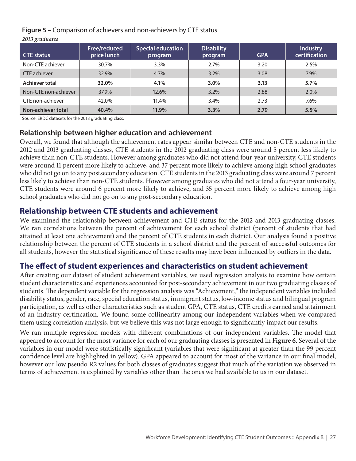**Figure 5 –** Comparison of achievers and non-achievers by CTE status

*2013 graduates*

| <b>CTE status</b>    | Free/reduced<br>price lunch | <b>Special education</b><br>program | <b>Disability</b><br>program | <b>GPA</b> | <b>Industry</b><br>certification |
|----------------------|-----------------------------|-------------------------------------|------------------------------|------------|----------------------------------|
| Non-CTE achiever     | 30.7%                       | 3.3%                                | 2.7%                         | 3.20       | 2.5%                             |
| CTE achiever         | 32.9%                       | 4.7%                                | $3.2\%$                      | 3.08       | 7.9%                             |
| Achiever total       | 32.0%                       | 4.1%                                | 3.0%                         | 3.13       | 5.7%                             |
| Non-CTE non-achiever | 37.9%                       | 12.6%                               | $3.2\%$                      | 2.88       | $2.0\%$                          |
| CTE non-achiever     | 42.0%                       | 11.4%                               | 3.4%                         | 2.73       | 7.6%                             |
| Non-achiever total   | 40.4%                       | 11.9%                               | 3.3%                         | 2.79       | 5.5%                             |

Source: ERDC datasets for the 2013 graduating class.

#### **Relationship between higher education and achievement**

Overall, we found that although the achievement rates appear similar between CTE and non-CTE students in the 2012 and 2013 graduating classes, CTE students in the 2012 graduating class were around 5 percent less likely to achieve than non-CTE students. However among graduates who did not attend four-year university, CTE students were around 11 percent more likely to achieve, and 37 percent more likely to achieve among high school graduates who did not go on to any postsecondary education. CTE students in the 2013 graduating class were around 7 percent less likely to achieve than non-CTE students. However among graduates who did not attend a four-year university, CTE students were around 6 percent more likely to achieve, and 35 percent more likely to achieve among high school graduates who did not go on to any post-secondary education.

#### **Relationship between CTE students and achievement**

We examined the relationship between achievement and CTE status for the 2012 and 2013 graduating classes. We ran correlations between the percent of achievement for each school district (percent of students that had attained at least one achievement) and the percent of CTE students in each district. Our analysis found a positive relationship between the percent of CTE students in a school district and the percent of successful outcomes for all students, however the statistical significance of these results may have been influenced by outliers in the data.

## **The effect of student experiences and characteristics on student achievement**

After creating our dataset of student achievement variables, we used regression analysis to examine how certain student characteristics and experiences accounted for post-secondary achievement in our two graduating classes of students. The dependent variable for the regression analysis was "Achievement," the independent variables included disability status, gender, race, special education status, immigrant status, low-income status and bilingual program participation, as well as other characteristics such as student GPA, CTE status, CTE credits earned and attainment of an industry certification. We found some collinearity among our independent variables when we compared them using correlation analysis, but we believe this was not large enough to significantly impact our results.

We ran multiple regression models with different combinations of our independent variables. The model that appeared to account for the most variance for each of our graduating classes is presented in F**igure 6**. Several of the variables in our model were statistically significant (variables that were significant at greater than the 99 percent confidence level are highlighted in yellow). GPA appeared to account for most of the variance in our final model, however our low pseudo R2 values for both classes of graduates suggest that much of the variation we observed in terms of achievement is explained by variables other than the ones we had available to us in our dataset.